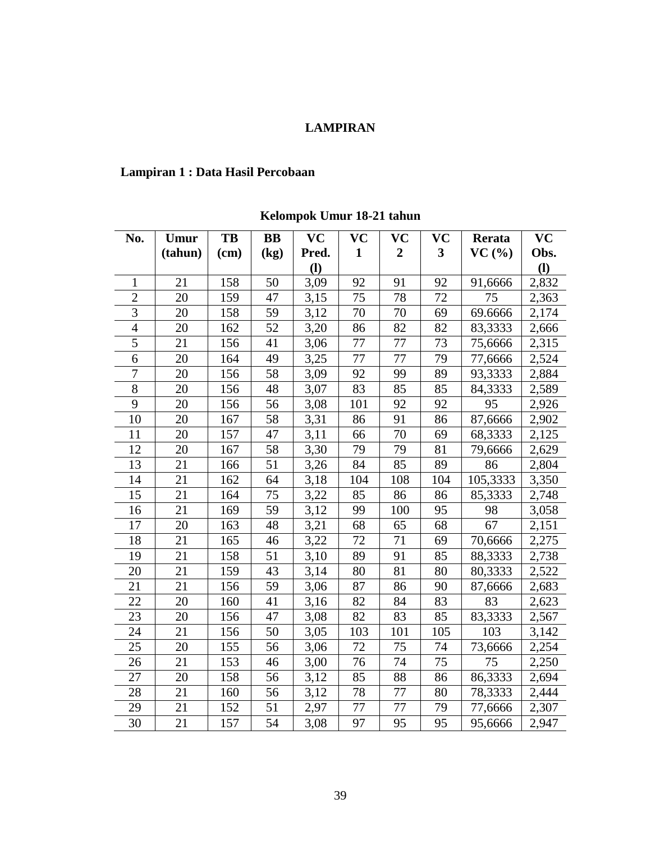## **LAMPIRAN**

## **Lampiran 1 : Data Hasil Percobaan**

**No. Umur (tahun) TB (cm) BB (kg) VC Pred. (l) VC 1 VC 2 VC 3 Rerata VC (%) VC Obs. (l)** 1 | 21 | 158 | 50 | 3,09 | 92 | 91 | 92 | 91,6666 | 2,832 2 | 20 | 159 | 47 | 3,15 | 75 | 78 | 72 | 75 | 2,363 3 | 20 | 158 | 59 | 3,12 | 70 | 70 | 69 | 69.6666 | 2,174 4 | 20 | 162 | 52 | 3,20 | 86 | 82 | 82 | 83,3333 | 2,666 5 | 21 | 156 | 41 | 3,06 | 77 | 77 | 73 | 75,6666 | 2,315 6 | 20 | 164 | 49 | 3,25 | 77 | 77 | 79 | 77,6666 | 2,524 7 | 20 | 156 | 58 | 3,09 | 92 | 99 | 89 | 93,3333 | 2,884 8 | 20 | 156 | 48 | 3,07 | 83 | 85 | 85 | 84,3333 | 2,589 9 | 20 | 156 | 56 | 3,08 | 101 | 92 | 92 | 95 | 2,926 10 | 20 | 167 | 58 | 3,31 | 86 | 91 | 86 | 87,6666 | 2,902 11 | 20 | 157 | 47 | 3,11 | 66 | 70 | 69 | 68,3333 | 2,125 12 | 20 | 167 | 58 | 3,30 | 79 | 79 | 81 | 79,6666 | 2,629 13 | 21 | 166 | 51 | 3,26 | 84 | 85 | 89 | 86 | 2,804 14 | 21 | 162 | 64 | 3,18 | 104 | 108 | 104 | 105,3333 | 3,350 15 | 21 | 164 | 75 | 3,22 | 85 | 86 | 86 | 85,3333 | 2,748 16 | 21 | 169 | 59 | 3,12 | 99 | 100 | 95 | 98 | 3,058 17 | 20 | 163 | 48 | 3,21 | 68 | 65 | 68 | 67 | 2,151 18 | 21 | 165 | 46 | 3,22 | 72 | 71 | 69 | 70,6666 | 2,275 19 | 21 | 158 | 51 | 3,10 | 89 | 91 | 85 | 88,3333 | 2,738 20 | 21 | 159 | 43 | 3,14 | 80 | 81 | 80 | 80,3333 | 2,522 21 | 21 | 156 | 59 | 3,06 | 87 | 86 | 90 | 87,6666 | 2,683 22 | 20 | 160 | 41 | 3,16 | 82 | 84 | 83 | 83 | 2,623 23 | 20 | 156 | 47 | 3,08 | 82 | 83 | 85 | 83,3333 | 2,567 24 | 21 | 156 | 50 | 3,05 | 103 | 101 | 105 | 103 | 3,142 25 | 20 | 155 | 56 | 3,06 | 72 | 75 | 74 | 73,6666 | 2,254 26 | 21 | 153 | 46 | 3,00 | 76 | 74 | 75 | 75 | 2,250 27 | 20 | 158 | 56 | 3,12 | 85 | 88 | 86 | 86,3333 | 2,694 28 | 21 | 160 | 56 | 3,12 | 78 | 77 | 80 | 78,3333 | 2,444 29 | 21 | 152 | 51 | 2,97 | 77 | 77 | 79 | 77,6666 | 2,307 30 | 21 | 157 | 54 | 3,08 | 97 | 95 | 95 | 95,6666 | 2,947

**Kelompok Umur 18-21 tahun**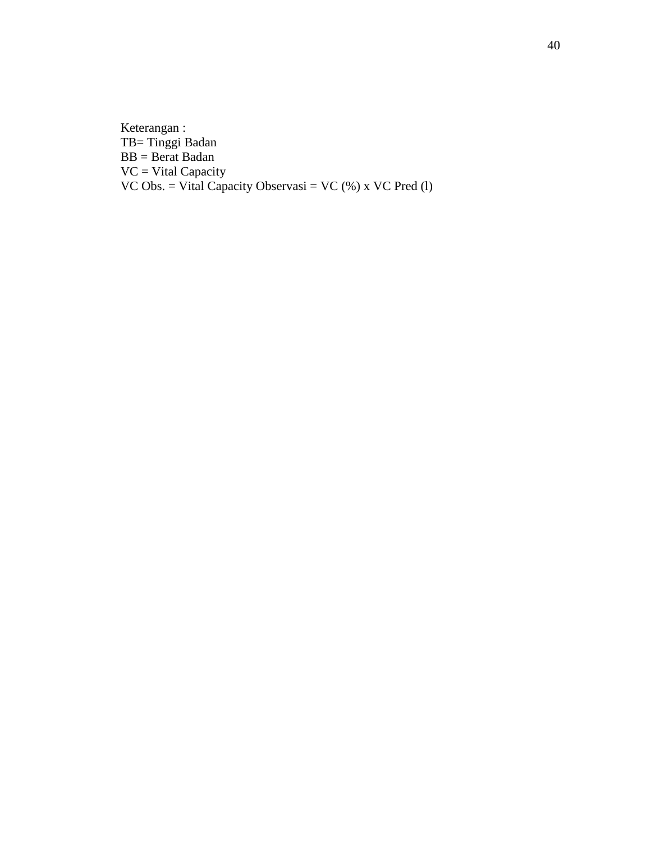Keterangan : TB= Tinggi Badan  $BB = Berat Badan$ VC = Vital Capacity VC Obs.  $=$  Vital Capacity Observasi  $=$  VC  $(*)$  x VC Pred  $(1)$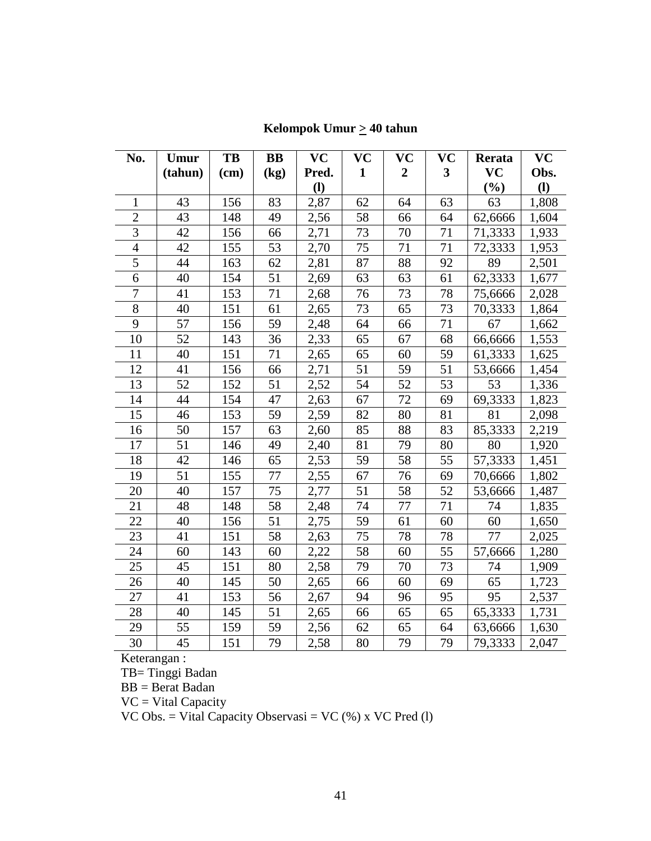| No.            | Umur            | TB   | $\bf BB$ | <b>VC</b>    | VC              | VC               | VC                      | Rerata    | VC    |
|----------------|-----------------|------|----------|--------------|-----------------|------------------|-------------------------|-----------|-------|
|                | (tahun)         | (cm) | (kg)     | Pred.        | $\mathbf{1}$    | $\boldsymbol{2}$ | $\overline{\mathbf{3}}$ | <b>VC</b> | Obs.  |
|                |                 |      |          | $\mathbf{I}$ |                 |                  |                         | $(\%)$    | (1)   |
| 1              | 43              | 156  | 83       | 2,87         | 62              | 64               | 63                      | 63        | 1,808 |
| $\overline{2}$ | 43              | 148  | 49       | 2,56         | 58              | 66               | 64                      | 62,6666   | 1,604 |
| $\overline{3}$ | 42              | 156  | 66       | 2,71         | 73              | 70               | 71                      | 71,3333   | 1,933 |
| $\overline{4}$ | 42              | 155  | 53       | 2,70         | 75              | 71               | 71                      | 72,3333   | 1,953 |
| 5              | 44              | 163  | 62       | 2,81         | 87              | 88               | 92                      | 89        | 2,501 |
| 6              | 40              | 154  | 51       | 2,69         | 63              | 63               | 61                      | 62,3333   | 1,677 |
| $\overline{7}$ | 41              | 153  | 71       | 2,68         | 76              | 73               | 78                      | 75,6666   | 2,028 |
| $8\,$          | 40              | 151  | 61       | 2,65         | 73              | 65               | 73                      | 70,3333   | 1,864 |
| 9              | 57              | 156  | 59       | 2,48         | 64              | 66               | 71                      | 67        | 1,662 |
| 10             | 52              | 143  | 36       | 2,33         | 65              | 67               | 68                      | 66,6666   | 1,553 |
| 11             | 40              | 151  | 71       | 2,65         | 65              | 60               | 59                      | 61,3333   | 1,625 |
| 12             | 41              | 156  | 66       | 2,71         | 51              | 59               | 51                      | 53,6666   | 1,454 |
| 13             | $\overline{52}$ | 152  | 51       | 2,52         | $\overline{54}$ | 52               | $\overline{53}$         | 53        | 1,336 |
| 14             | 44              | 154  | 47       | 2,63         | 67              | 72               | 69                      | 69,3333   | 1,823 |
| 15             | 46              | 153  | 59       | 2,59         | 82              | 80               | 81                      | 81        | 2,098 |
| 16             | 50              | 157  | 63       | 2,60         | 85              | 88               | 83                      | 85,3333   | 2,219 |
| 17             | 51              | 146  | 49       | 2,40         | 81              | 79               | 80                      | 80        | 1,920 |
| 18             | 42              | 146  | 65       | 2,53         | 59              | 58               | 55                      | 57,3333   | 1,451 |
| 19             | 51              | 155  | 77       | 2,55         | 67              | 76               | 69                      | 70,6666   | 1,802 |
| 20             | 40              | 157  | 75       | 2,77         | 51              | 58               | 52                      | 53,6666   | 1,487 |
| 21             | 48              | 148  | 58       | 2,48         | 74              | 77               | 71                      | 74        | 1,835 |
| 22             | 40              | 156  | 51       | 2,75         | 59              | 61               | 60                      | 60        | 1,650 |
| 23             | 41              | 151  | 58       | 2,63         | 75              | 78               | 78                      | 77        | 2,025 |
| 24             | 60              | 143  | 60       | 2,22         | 58              | 60               | 55                      | 57,6666   | 1,280 |
| 25             | 45              | 151  | 80       | 2,58         | 79              | 70               | 73                      | 74        | 1,909 |
| 26             | 40              | 145  | 50       | 2,65         | 66              | 60               | 69                      | 65        | 1,723 |
| 27             | 41              | 153  | 56       | 2,67         | 94              | 96               | 95                      | 95        | 2,537 |
| 28             | 40              | 145  | 51       | 2,65         | 66              | 65               | 65                      | 65,3333   | 1,731 |
| 29             | 55              | 159  | 59       | 2,56         | 62              | 65               | 64                      | 63,6666   | 1,630 |
| 30             | 45              | 151  | 79       | 2,58         | 80              | 79               | 79                      | 79,3333   | 2,047 |

**Kelompok Umur > 40 tahun**

Keterangan :

TB= Tinggi Badan

 $BB = Berat Badan$ 

VC = Vital Capacity

VC Obs. = Vital Capacity Observasi = VC  $(\%)$  x VC Pred (l)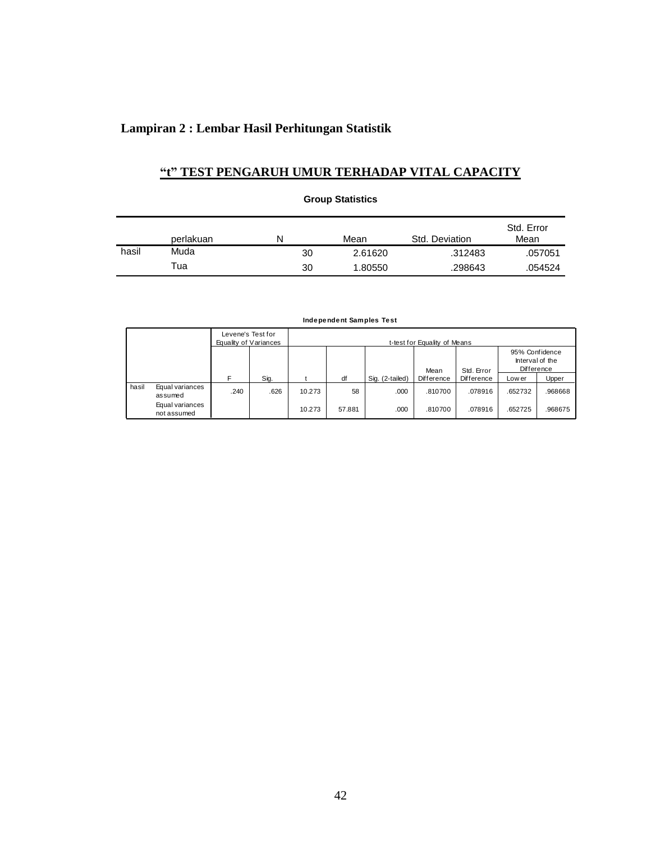# **Lampiran 2 : Lembar Hasil Perhitungan Statistik**

# **"t" TEST PENGARUH UMUR TERHADAP VITAL CAPACITY**

**Group Statistics**

|       | perlakuan | N  | Mean    | Std. Deviation | Std. Error<br>Mean |
|-------|-----------|----|---------|----------------|--------------------|
| hasil | Muda      | 30 | 2.61620 | .312483        | .057051            |
|       | Tua       | 30 | 1.80550 | .298643        | .054524            |

|       |                                |      | Levene's Test for<br>Equality of Variances | t-test for Equality of Means |        |                 |                              |                 |         |         |
|-------|--------------------------------|------|--------------------------------------------|------------------------------|--------|-----------------|------------------------------|-----------------|---------|---------|
|       |                                |      |                                            |                              |        |                 | 95% Confidence<br>Difference | Interval of the |         |         |
|       |                                |      |                                            |                              |        |                 | Mean                         | Std. Error      |         |         |
|       |                                | F    | Sig.                                       |                              | df     | Sig. (2-tailed) | Difference                   | Difference      | Low er  | Upper   |
| hasil | Equal variances<br>assumed     | .240 | .626                                       | 10.273                       | 58     | .000            | .810700                      | .078916         | .652732 | .968668 |
|       | Equal variances<br>not assumed |      |                                            | 10.273                       | 57.881 | .000            | .810700                      | .078916         | .652725 | .968675 |

#### **Independent Samples Test**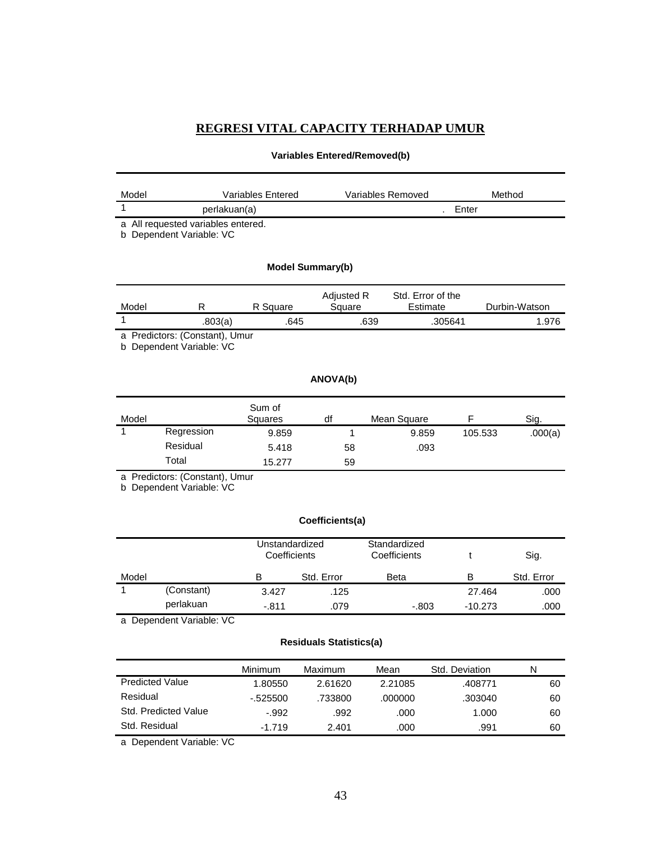# **REGRESI VITAL CAPACITY TERHADAP UMUR**

# **Variables Entered/Removed(b)**

| Model |                                                              | Variables Entered              |                         | Variables Removed             |         | Method        |
|-------|--------------------------------------------------------------|--------------------------------|-------------------------|-------------------------------|---------|---------------|
| 1     | perlakuan(a)                                                 |                                |                         |                               | Enter   |               |
| b     | a All requested variables entered.<br>Dependent Variable: VC |                                |                         |                               |         |               |
|       |                                                              |                                | <b>Model Summary(b)</b> |                               |         |               |
| Model | R                                                            | R Square                       | Adjusted R<br>Square    | Std. Error of the<br>Estimate |         | Durbin-Watson |
| 1     | .803(a)                                                      | .645                           |                         | .639                          | .305641 | 1.976         |
|       | a Predictors: (Constant), Umur<br>b Dependent Variable: VC   |                                |                         |                               |         |               |
|       |                                                              |                                | ANOVA(b)                |                               |         |               |
| Model |                                                              | Sum of<br>Squares              | df                      | Mean Square                   | F       | Sig.          |
| 1     | Regression                                                   | 9.859                          | 1                       | 9.859                         | 105.533 | .000(a)       |
|       | Residual                                                     | 5.418                          | 58                      | .093                          |         |               |
|       | Total                                                        | 15.277                         | 59                      |                               |         |               |
|       | a Predictors: (Constant), Umur<br>b Dependent Variable: VC   |                                |                         |                               |         |               |
|       |                                                              |                                | Coefficients(a)         |                               |         |               |
|       |                                                              | Unstandardized<br>Coefficients |                         | Standardized<br>Coefficients  | t       | Sig.          |
|       |                                                              | B                              | Std. Error              | Beta                          | B       | Std. Error    |
| Model |                                                              |                                |                         |                               |         |               |
| 1     | (Constant)                                                   | 3.427                          | .125                    |                               | 27.464  | .000          |

### **Residuals Statistics(a)**

|                        | Minimum   | Maximum | Mean    | Std. Deviation | N  |
|------------------------|-----------|---------|---------|----------------|----|
| <b>Predicted Value</b> | 1.80550   | 2.61620 | 2.21085 | .408771        | 60 |
| Residual               | $-525500$ | .733800 | .000000 | .303040        | 60 |
| Std. Predicted Value   | $-992$    | .992    | .000    | 1.000          | 60 |
| Std. Residual          | $-1.719$  | 2.401   | .000    | .991           | 60 |

a Dependent Variable: VC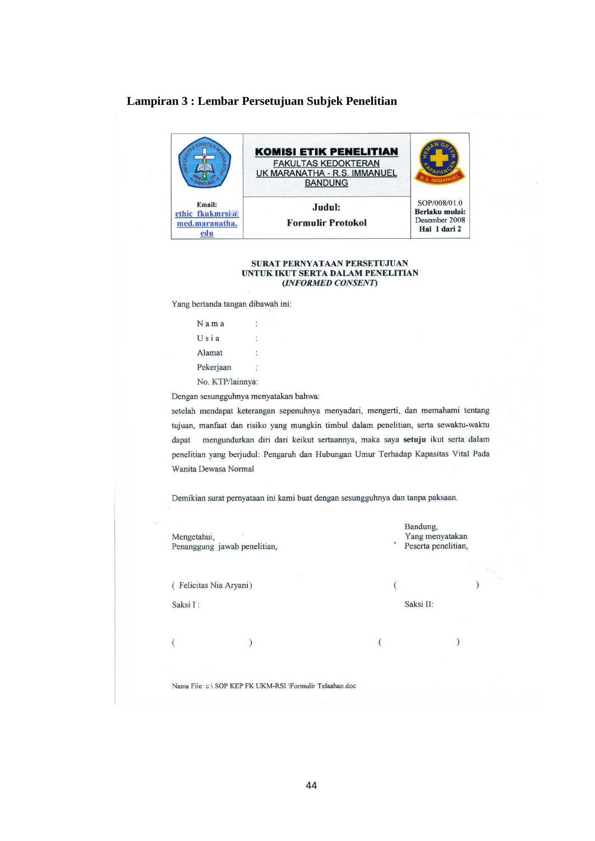## Lampiran 3 : Lembar Persetujuan Subjek Penelitian



#### SURAT PERNYATAAN PERSETUJUAN UNTUK IKUT SERTA DALAM PENELITIAN (INFORMED CONSENT)

Yang bertanda tangan dibawah ini:

| Nama             | ÷ |
|------------------|---|
| Usia             |   |
| Alamat           |   |
| Pekerjaan        |   |
| No. KTP/lainnya: |   |

Dengan sesungguhnya menyatakan bahwa:

setelah mendapat keterangan sepenuhnya menyadari, mengerti, dan memahami tentang tujuan, manfaat dan risiko yang mungkin timbul dalam penelitian, serta sewaktu-waktu dapat mengundurkan diri dari keikut sertaannya, maka saya setuju ikut serta dalam penelitian yang berjudul: Pengaruh dan Hubungan Umur Terhadap Kapasitas Vital Pada Wanita Dewasa Normal

Demikian surat pernyataan ini kami buat dengan sesungguhnya dan tanpa paksaan.

| Mengetahui,<br>Penanggung jawab penelitian, |                       | Bandung,<br>٠ | Yang menyatakan<br>Peserta penelitian, |  |
|---------------------------------------------|-----------------------|---------------|----------------------------------------|--|
|                                             |                       |               |                                        |  |
|                                             | Felicitas Nia Aryani) |               |                                        |  |
| Saksi I:                                    |                       | Saksi II:     |                                        |  |
|                                             |                       |               |                                        |  |
|                                             |                       |               |                                        |  |

Nama File: c:\ SOP KEP FK UKM-RSI \Formulir Telaahan.doc